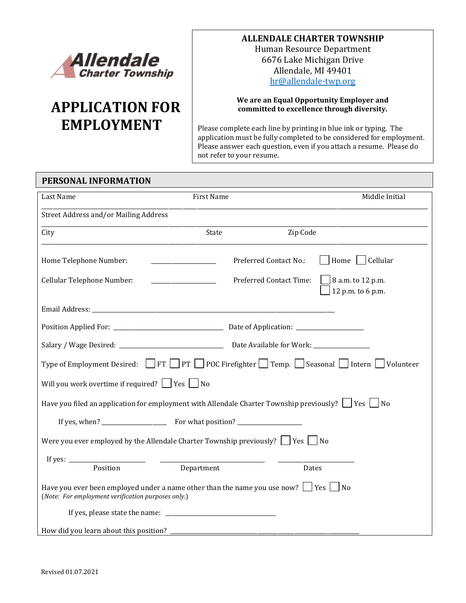

# **APPLICATION FOR EMPLOYMENT**

#### **ALLENDALE CHARTER TOWNSHIP**

Human Resource Department 6676 Lake Michigan Drive Allendale, MI 49401 [hr@allendale-twp.org](mailto:hr@allendale-twp.org)

#### **We are an Equal Opportunity Employer and committed to excellence through diversity.**

Please complete each line by printing in blue ink or typing. The application must be fully completed to be considered for employment. Please answer each question, even if you attach a resume. Please do not refer to your resume.

| PERSONAL INFORMATION                                     |                                                                                                                                                                                                                                                                        |                                               |
|----------------------------------------------------------|------------------------------------------------------------------------------------------------------------------------------------------------------------------------------------------------------------------------------------------------------------------------|-----------------------------------------------|
| Last Name                                                | First Name                                                                                                                                                                                                                                                             | Middle Initial                                |
| Street Address and/or Mailing Address                    |                                                                                                                                                                                                                                                                        |                                               |
| City                                                     | State                                                                                                                                                                                                                                                                  | Zip Code                                      |
| Home Telephone Number:                                   | Preferred Contact No.:                                                                                                                                                                                                                                                 | Home   Cellular                               |
| Cellular Telephone Number:                               | <b>Preferred Contact Time:</b><br><u>and the state of the state of the state of the state of the state of the state of the state of the state of the state of the state of the state of the state of the state of the state of the state of the state of the state</u> | $\Box$ 8 a.m. to 12 p.m.<br>12 p.m. to 6 p.m. |
|                                                          |                                                                                                                                                                                                                                                                        |                                               |
|                                                          |                                                                                                                                                                                                                                                                        |                                               |
|                                                          |                                                                                                                                                                                                                                                                        |                                               |
|                                                          | Type of Employment Desired: FT PT POC Firefighter Temp. Seasonal Intern Volunteer                                                                                                                                                                                      |                                               |
| Will you work overtime if required? $\Box$ Yes $\Box$ No |                                                                                                                                                                                                                                                                        |                                               |
|                                                          | Have you filed an application for employment with Allendale Charter Township previously? $\vert \ \vert$ Yes $\vert \ \vert$ No                                                                                                                                        |                                               |
|                                                          |                                                                                                                                                                                                                                                                        |                                               |
|                                                          | Were you ever employed by the Allendale Charter Township previously? $\Box$ Yes $\Box$ No                                                                                                                                                                              |                                               |
|                                                          |                                                                                                                                                                                                                                                                        |                                               |
| Position                                                 | Department                                                                                                                                                                                                                                                             | Dates                                         |
| (Note: For employment verification purposes only.)       |                                                                                                                                                                                                                                                                        |                                               |
|                                                          |                                                                                                                                                                                                                                                                        |                                               |
| How did you learn about this position?                   |                                                                                                                                                                                                                                                                        |                                               |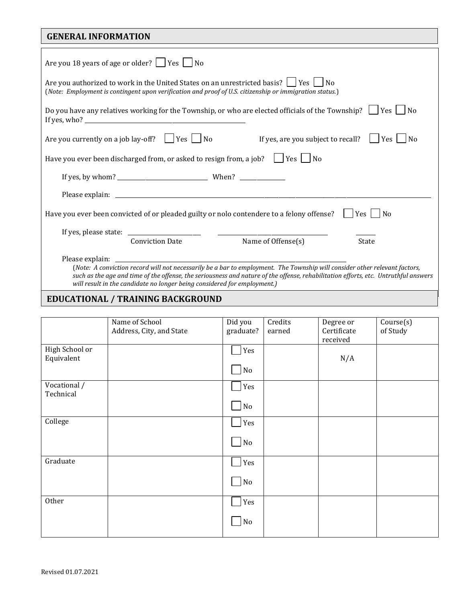| <b>GENERAL INFORMATION</b>                                                                                                                                                                                                                                                                                                                                       |  |  |
|------------------------------------------------------------------------------------------------------------------------------------------------------------------------------------------------------------------------------------------------------------------------------------------------------------------------------------------------------------------|--|--|
| Are you 18 years of age or older? $\Box$ Yes $\Box$ No                                                                                                                                                                                                                                                                                                           |  |  |
| Are you authorized to work in the United States on an unrestricted basis? $\Box$ Yes $\Box$ No<br>(Note: Employment is contingent upon verification and proof of U.S. citizenship or immigration status.)                                                                                                                                                        |  |  |
| Do you have any relatives working for the Township, or who are elected officials of the Township? $\Box$ Yes $\Box$ No                                                                                                                                                                                                                                           |  |  |
| Are you currently on a job lay-off? $\Box$ Yes $\Box$ No<br>If yes, are you subject to recall?<br>Yes  <br>N <sub>0</sub>                                                                                                                                                                                                                                        |  |  |
| Have you ever been discharged from, or asked to resign from, a job? $\Box$ Yes $\Box$ No                                                                                                                                                                                                                                                                         |  |  |
|                                                                                                                                                                                                                                                                                                                                                                  |  |  |
|                                                                                                                                                                                                                                                                                                                                                                  |  |  |
| Have you ever been convicted of or pleaded guilty or nolo contendere to a felony offense?<br>Yes<br>N <sub>0</sub>                                                                                                                                                                                                                                               |  |  |
|                                                                                                                                                                                                                                                                                                                                                                  |  |  |
| Name of Offense(s)<br><b>Conviction Date</b><br>State                                                                                                                                                                                                                                                                                                            |  |  |
| Please explain:<br>(Note: A conviction record will not necessarily be a bar to employment. The Township will consider other relevant factors,<br>such as the age and time of the offense, the seriousness and nature of the offense, rehabilitation efforts, etc. Untruthful answers<br>will result in the candidate no longer being considered for employment.) |  |  |

## **EDUCATIONAL / TRAINING BACKGROUND**

| Address, City, and State | graduate?       | earned              | Degree or<br>Certificate | Course(s)<br>of Study |
|--------------------------|-----------------|---------------------|--------------------------|-----------------------|
|                          | Yes<br>$\rm No$ |                     | N/A                      |                       |
|                          | Yes<br>$\rm No$ |                     |                          |                       |
|                          | Yes             |                     |                          |                       |
|                          | Yes             |                     |                          |                       |
|                          | No              |                     |                          |                       |
|                          | Yes<br>No       |                     |                          |                       |
|                          | Name of School  | Did you<br>$\rm No$ | Credits                  | received              |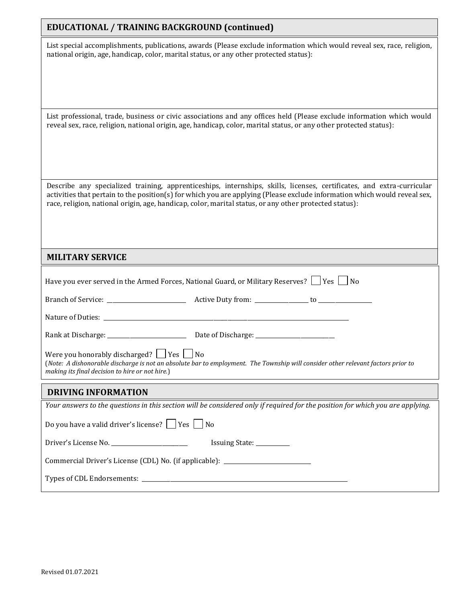#### **EDUCATIONAL / TRAINING BACKGROUND (continued)**

List special accomplishments, publications, awards (Please exclude information which would reveal sex, race, religion, national origin, age, handicap, color, marital status, or any other protected status):

List professional, trade, business or civic associations and any offices held (Please exclude information which would reveal sex, race, religion, national origin, age, handicap, color, marital status, or any other protected status):

Describe any specialized training, apprenticeships, internships, skills, licenses, certificates, and extra-curricular activities that pertain to the position(s) for which you are applying (Please exclude information which would reveal sex, race, religion, national origin, age, handicap, color, marital status, or any other protected status):

#### **MILITARY SERVICE**

|                                                                                                                                                                                                                                          | Have you ever served in the Armed Forces, National Guard, or Military Reserves?     Yes     No                                 |  |
|------------------------------------------------------------------------------------------------------------------------------------------------------------------------------------------------------------------------------------------|--------------------------------------------------------------------------------------------------------------------------------|--|
|                                                                                                                                                                                                                                          |                                                                                                                                |  |
|                                                                                                                                                                                                                                          |                                                                                                                                |  |
|                                                                                                                                                                                                                                          |                                                                                                                                |  |
| Were you honorably discharged? $ $   Yes $ $   No<br>(Note: A dishonorable discharge is not an absolute bar to employment. The Township will consider other relevant factors prior to<br>making its final decision to hire or not hire.) |                                                                                                                                |  |
|                                                                                                                                                                                                                                          |                                                                                                                                |  |
| <b>DRIVING INFORMATION</b>                                                                                                                                                                                                               |                                                                                                                                |  |
|                                                                                                                                                                                                                                          | Your answers to the questions in this section will be considered only if required for the position for which you are applying. |  |
| Do you have a valid driver's license? $\Box$ Yes $\Box$ No                                                                                                                                                                               |                                                                                                                                |  |
| Driver's License No. ____________________________                                                                                                                                                                                        | Issuing State: __________                                                                                                      |  |
| Commercial Driver's License (CDL) No. (if applicable): _________________________                                                                                                                                                         |                                                                                                                                |  |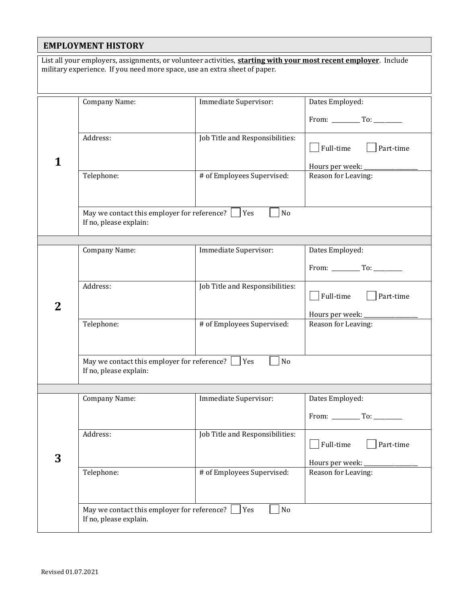#### **EMPLOYMENT HISTORY**

List all your employers, assignments, or volunteer activities, **starting with your most recent employer**. Include military experience. If you need more space, use an extra sheet of paper.

|   | <b>Company Name:</b>                                   | Immediate Supervisor:           | Dates Employed:                             |
|---|--------------------------------------------------------|---------------------------------|---------------------------------------------|
|   |                                                        |                                 |                                             |
|   |                                                        |                                 |                                             |
|   | Address:                                               | Job Title and Responsibilities: | Full-time<br>Part-time                      |
|   |                                                        |                                 | Hours per week:                             |
|   | Telephone:                                             | # of Employees Supervised:      | Reason for Leaving:                         |
|   |                                                        |                                 |                                             |
|   | May we contact this employer for reference?            | No<br>Yes                       |                                             |
|   | If no, please explain:                                 |                                 |                                             |
|   |                                                        |                                 |                                             |
|   | <b>Company Name:</b>                                   | Immediate Supervisor:           | Dates Employed:                             |
|   |                                                        |                                 | From: To:                                   |
|   | Address:                                               | Job Title and Responsibilities: | Full-time<br>Part-time                      |
| 2 |                                                        |                                 |                                             |
|   | Telephone:                                             | # of Employees Supervised:      | Hours per week:<br>Reason for Leaving:      |
|   |                                                        |                                 |                                             |
|   |                                                        |                                 |                                             |
|   | May we contact this employer for reference? $\Box$ Yes | No                              |                                             |
|   | If no, please explain:                                 |                                 |                                             |
|   |                                                        |                                 |                                             |
|   | <b>Company Name:</b>                                   | Immediate Supervisor:           | Dates Employed:                             |
|   |                                                        |                                 | From: $\_\_\_\_\_\$ To: $\_\_\_\_\_\_\_\_\$ |
|   | Address:                                               | Job Title and Responsibilities: | Full-time<br>Part-time                      |
| 3 |                                                        |                                 |                                             |
|   | Telephone:                                             | # of Employees Supervised:      | Hours per week:<br>Reason for Leaving:      |
|   |                                                        |                                 |                                             |
|   |                                                        |                                 |                                             |
|   | May we contact this employer for reference?            | $\rm No$<br>Yes                 |                                             |
|   | If no, please explain.                                 |                                 |                                             |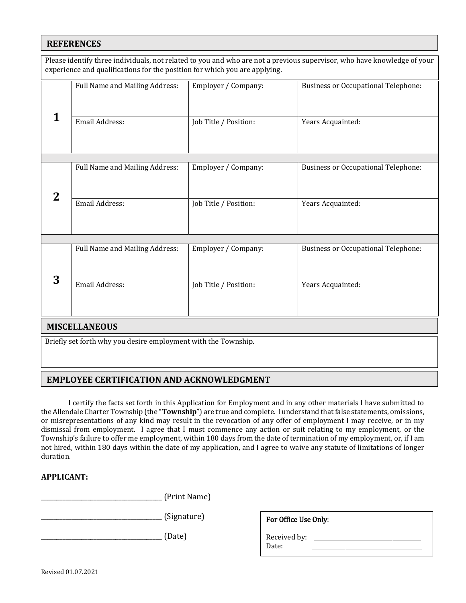#### **REFERENCES**

|                      | experience and qualifications for the position for which you are applying. |                       | Please identify three individuals, not related to you and who are not a previous supervisor, who have knowledge of your |
|----------------------|----------------------------------------------------------------------------|-----------------------|-------------------------------------------------------------------------------------------------------------------------|
|                      | Full Name and Mailing Address:                                             | Employer / Company:   | <b>Business or Occupational Telephone:</b>                                                                              |
| 1                    | <b>Email Address:</b>                                                      | Job Title / Position: | Years Acquainted:                                                                                                       |
|                      |                                                                            |                       |                                                                                                                         |
| $\bf{2}$             | Full Name and Mailing Address:                                             | Employer / Company:   | <b>Business or Occupational Telephone:</b>                                                                              |
|                      | <b>Email Address:</b>                                                      | Job Title / Position: | Years Acquainted:                                                                                                       |
|                      |                                                                            |                       |                                                                                                                         |
|                      | Full Name and Mailing Address:                                             | Employer / Company:   | <b>Business or Occupational Telephone:</b>                                                                              |
| 3                    | Email Address:                                                             | Job Title / Position: | Years Acquainted:                                                                                                       |
| <b>MISCELLANEOUS</b> |                                                                            |                       |                                                                                                                         |
|                      | Briefly set forth why you desire employment with the Township.             |                       |                                                                                                                         |

#### Ī **EMPLOYEE CERTIFICATION AND ACKNOWLEDGMENT**

I certify the facts set forth in this Application for Employment and in any other materials I have submitted to the Allendale Charter Township (the "**Township**") are true and complete. I understand that false statements, omissions, or misrepresentations of any kind may result in the revocation of any offer of employment I may receive, or in my or misrepresentations of any kind may result in the revocation of any offer of employment I may receive, or in my<br>dismissal from employment. I agree that I must commence any action or suit relating to my employment, or the Township's failure to offer me employment, within 180 days from the date of termination of my employment, or, if I am not hired, within 180 days within the date of my application, and I agree to waive any statute of limitations of longer duration.

#### **APPLICANT:**

I

\_\_\_\_\_\_\_\_\_\_\_\_\_\_\_\_\_\_\_\_\_\_\_\_\_\_\_\_\_\_\_\_\_\_\_\_\_\_\_ (Print Name)

\_\_\_\_\_\_\_\_\_\_\_\_\_\_\_\_\_\_\_\_\_\_\_\_\_\_\_\_\_\_\_\_\_\_\_\_\_\_\_ (Signature)

\_\_\_\_\_\_\_\_\_\_\_\_\_\_\_\_\_\_\_\_\_\_\_\_\_\_\_\_\_\_\_\_\_\_\_\_\_\_\_ (Date)

| For Office Use Only:  |  |
|-----------------------|--|
| Received by:<br>Date: |  |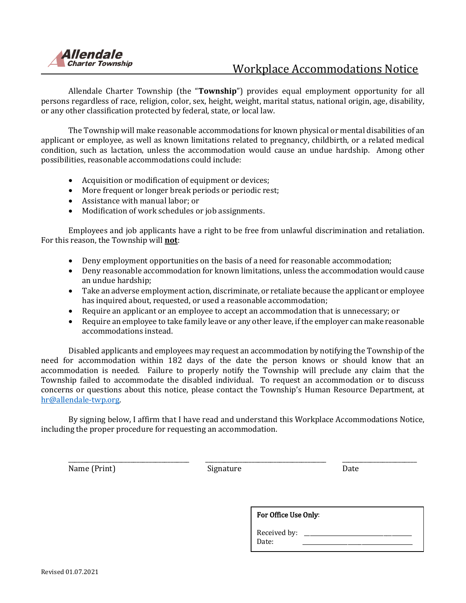

### Workplace Accommodations Notice

Allendale Charter Township (the "**Township**") provides equal employment opportunity for all persons regardless of race, religion, color, sex, height, weight, marital status, national origin, age, disability, or any other classification protected by federal, state, or local law.

The Township will make reasonable accommodations for known physical or mental disabilities of an applicant or employee, as well as known limitations related to pregnancy, childbirth, or a related medical condition, such as lactation, unless the accommodation would cause an undue hardship. Among other possibilities, reasonable accommodations could include:

- Acquisition or modification of equipment or devices;
- More frequent or longer break periods or periodic rest;
- Assistance with manual labor; or
- Modification of work schedules or job assignments.

Employees and job applicants have a right to be free from unlawful discrimination and retaliation. For this reason, the Township will **not**:

- Deny employment opportunities on the basis of a need for reasonable accommodation;
- Deny reasonable accommodation for known limitations, unless the accommodation would cause an undue hardship;
- Take an adverse employment action, discriminate, or retaliate because the applicant or employee has inquired about, requested, or used a reasonable accommodation;
- Require an applicant or an employee to accept an accommodation that is unnecessary; or
- Require an employee to take family leave or any other leave, if the employer can make reasonable accommodations instead.

Disabled applicants and employees may request an accommodation by notifying the Township of the need for accommodation within 182 days of the date the person knows or should know that an accommodation is needed. Failure to properly notify the Township will preclude any claim that the Township failed to accommodate the disabled individual. To request an accommodation or to discuss concerns or questions about this notice, please contact the Township's Human Resource Department, at [hr@allendale-twp.org.](mailto:hr@allendale-twp.org)

By signing below, I affirm that I have read and understand this Workplace Accommodations Notice, including the proper procedure for requesting an accommodation.

\_\_\_\_\_\_\_\_\_\_\_\_\_\_\_\_\_\_\_\_\_\_\_\_\_\_\_\_\_\_\_\_\_\_\_\_\_\_\_ \_\_\_\_\_\_\_\_\_\_\_\_\_\_\_\_\_\_\_\_\_\_\_\_\_\_\_\_\_\_\_\_\_\_\_\_\_\_\_ \_\_\_\_\_\_\_\_\_\_\_\_\_\_\_\_\_\_\_\_\_\_\_\_ Name (Print) Signature Signature Date

| For Office Use Only:  |  |
|-----------------------|--|
| Received by:<br>Date: |  |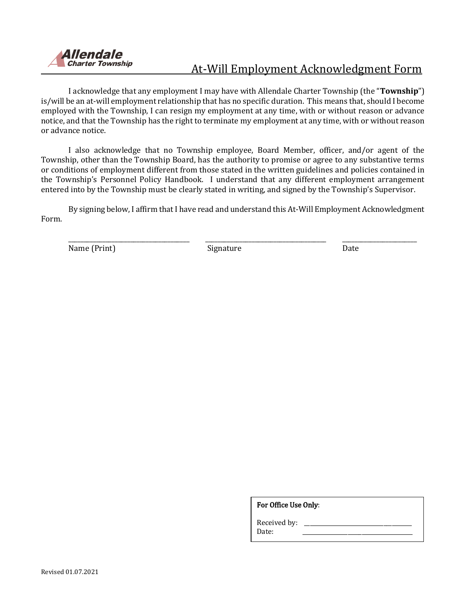

# At-Will Employment Acknowledgment Form

I acknowledge that any employment I may have with Allendale Charter Township (the "**Township**") is/will be an at-will employment relationship that has no specific duration. This means that, should I become employed with the Township, I can resign my employment at any time, with or without reason or advance notice, and that the Township has the right to terminate my employment at any time, with or without reason or advance notice.

I also acknowledge that no Township employee, Board Member, officer, and/or agent of the Township, other than the Township Board, has the authority to promise or agree to any substantive terms or conditions of employment different from those stated in the written guidelines and policies contained in the Township's Personnel Policy Handbook. I understand that any different employment arrangement entered into by the Township must be clearly stated in writing, and signed by the Township's Supervisor.

By signing below, I affirm that I have read and understand this At-Will Employment Acknowledgment Form.

\_\_\_\_\_\_\_\_\_\_\_\_\_\_\_\_\_\_\_\_\_\_\_\_\_\_\_\_\_\_\_\_\_\_\_\_\_\_\_ \_\_\_\_\_\_\_\_\_\_\_\_\_\_\_\_\_\_\_\_\_\_\_\_\_\_\_\_\_\_\_\_\_\_\_\_\_\_\_ \_\_\_\_\_\_\_\_\_\_\_\_\_\_\_\_\_\_\_\_\_\_\_\_

Name (Print) Signature Date Date

For Office Use Only:

Received by:

Date: \_\_\_\_\_\_\_\_\_\_\_\_\_\_\_\_\_\_\_\_\_\_\_\_\_\_\_\_\_\_\_\_\_\_\_\_\_\_\_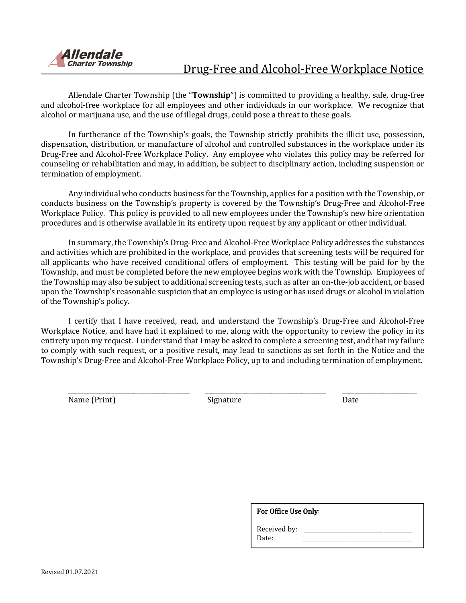

### Drug-Free and Alcohol-Free Workplace Notice

Allendale Charter Township (the "**Township**") is committed to providing a healthy, safe, drug-free and alcohol-free workplace for all employees and other individuals in our workplace. We recognize that alcohol or marijuana use, and the use of illegal drugs, could pose a threat to these goals.

In furtherance of the Township's goals, the Township strictly prohibits the illicit use, possession, dispensation, distribution, or manufacture of alcohol and controlled substances in the workplace under its Drug-Free and Alcohol-Free Workplace Policy. Any employee who violates this policy may be referred for counseling or rehabilitation and may, in addition, be subject to disciplinary action, including suspension or termination of employment.

Any individual who conducts business for the Township, applies for a position with the Township, or conducts business on the Township's property is covered by the Township's Drug-Free and Alcohol-Free Workplace Policy. This policy is provided to all new employees under the Township's new hire orientation procedures and is otherwise available in its entirety upon request by any applicant or other individual.

In summary, the Township's Drug-Free and Alcohol-Free Workplace Policy addresses the substances and activities which are prohibited in the workplace, and provides that screening tests will be required for all applicants who have received conditional offers of employment. This testing will be paid for by the Township, and must be completed before the new employee begins work with the Township. Employees of the Township may also be subject to additional screening tests, such as after an on-the-job accident, or based upon the Township's reasonable suspicion that an employee is using or has used drugs or alcohol in violation of the Township's policy.

I certify that I have received, read, and understand the Township's Drug-Free and Alcohol-Free Workplace Notice, and have had it explained to me, along with the opportunity to review the policy in its entirety upon my request. I understand that I may be asked to complete a screening test, and that my failure to comply with such request, or a positive result, may lead to sanctions as set forth in the Notice and the Township's Drug-Free and Alcohol-Free Workplace Policy, up to and including termination of employment.

\_\_\_\_\_\_\_\_\_\_\_\_\_\_\_\_\_\_\_\_\_\_\_\_\_\_\_\_\_\_\_\_\_\_\_\_\_\_\_ \_\_\_\_\_\_\_\_\_\_\_\_\_\_\_\_\_\_\_\_\_\_\_\_\_\_\_\_\_\_\_\_\_\_\_\_\_\_\_ \_\_\_\_\_\_\_\_\_\_\_\_\_\_\_\_\_\_\_\_\_\_\_\_

Name (Print) Signature Date Date

| <b>For Office Use Only:</b> |  |
|-----------------------------|--|
| Received by:<br>Date:       |  |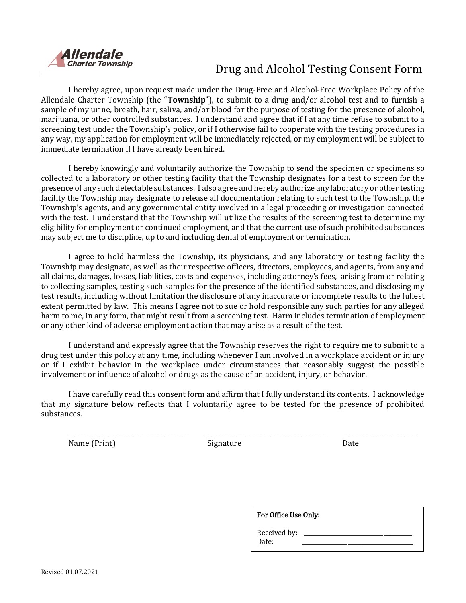

# Drug and Alcohol Testing Consent Form

I hereby agree, upon request made under the Drug-Free and Alcohol-Free Workplace Policy of the Allendale Charter Township (the "**Township**"), to submit to a drug and/or alcohol test and to furnish a sample of my urine, breath, hair, saliva, and/or blood for the purpose of testing for the presence of alcohol, marijuana, or other controlled substances. I understand and agree that if I at any time refuse to submit to a screening test under the Township's policy, or if I otherwise fail to cooperate with the testing procedures in any way, my application for employment will be immediately rejected, or my employment will be subject to immediate termination if I have already been hired.

I hereby knowingly and voluntarily authorize the Township to send the specimen or specimens so collected to a laboratory or other testing facility that the Township designates for a test to screen for the presence of any such detectable substances. I also agree and hereby authorize any laboratory or other testing facility the Township may designate to release all documentation relating to such test to the Township, the Township's agents, and any governmental entity involved in a legal proceeding or investigation connected with the test. I understand that the Township will utilize the results of the screening test to determine my eligibility for employment or continued employment, and that the current use of such prohibited substances may subject me to discipline, up to and including denial of employment or termination.

I agree to hold harmless the Township, its physicians, and any laboratory or testing facility the Township may designate, as well as their respective officers, directors, employees, and agents, from any and all claims, damages, losses, liabilities, costs and expenses, including attorney's fees, arising from or relating to collecting samples, testing such samples for the presence of the identified substances, and disclosing my test results, including without limitation the disclosure of any inaccurate or incomplete results to the fullest extent permitted by law. This means I agree not to sue or hold responsible any such parties for any alleged harm to me, in any form, that might result from a screening test. Harm includes termination of employment or any other kind of adverse employment action that may arise as a result of the test.

I understand and expressly agree that the Township reserves the right to require me to submit to a drug test under this policy at any time, including whenever I am involved in a workplace accident or injury or if I exhibit behavior in the workplace under circumstances that reasonably suggest the possible involvement or influence of alcohol or drugs as the cause of an accident, injury, or behavior.

I have carefully read this consent form and affirm that I fully understand its contents. I acknowledge that my signature below reflects that I voluntarily agree to be tested for the presence of prohibited substances.

\_\_\_\_\_\_\_\_\_\_\_\_\_\_\_\_\_\_\_\_\_\_\_\_\_\_\_\_\_\_\_\_\_\_\_\_\_\_\_ \_\_\_\_\_\_\_\_\_\_\_\_\_\_\_\_\_\_\_\_\_\_\_\_\_\_\_\_\_\_\_\_\_\_\_\_\_\_\_ \_\_\_\_\_\_\_\_\_\_\_\_\_\_\_\_\_\_\_\_\_\_\_\_ Name (Print) Signature Communication of the Date of School and Date Communication of the Date

| For Office Use Only:  |  |  |
|-----------------------|--|--|
| Received by:<br>Date: |  |  |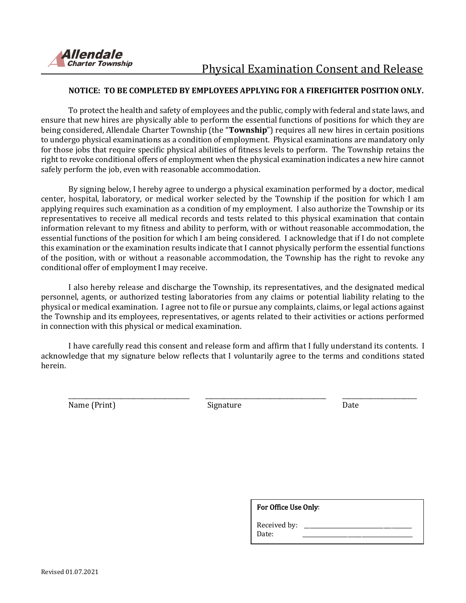

#### **NOTICE: TO BE COMPLETED BY EMPLOYEES APPLYING FOR A FIREFIGHTER POSITION ONLY.**

To protect the health and safety of employees and the public, comply with federal and state laws, and ensure that new hires are physically able to perform the essential functions of positions for which they are being considered, Allendale Charter Township (the "**Township**") requires all new hires in certain positions to undergo physical examinations as a condition of employment. Physical examinations are mandatory only for those jobs that require specific physical abilities of fitness levels to perform. The Township retains the right to revoke conditional offers of employment when the physical examination indicates a new hire cannot safely perform the job, even with reasonable accommodation.

By signing below, I hereby agree to undergo a physical examination performed by a doctor, medical center, hospital, laboratory, or medical worker selected by the Township if the position for which I am applying requires such examination as a condition of my employment. I also authorize the Township or its representatives to receive all medical records and tests related to this physical examination that contain information relevant to my fitness and ability to perform, with or without reasonable accommodation, the essential functions of the position for which I am being considered. I acknowledge that if I do not complete this examination or the examination results indicate that I cannot physically perform the essential functions of the position, with or without a reasonable accommodation, the Township has the right to revoke any conditional offer of employment I may receive.

I also hereby release and discharge the Township, its representatives, and the designated medical personnel, agents, or authorized testing laboratories from any claims or potential liability relating to the physical or medical examination. I agree not to file or pursue any complaints, claims, or legal actions against the Township and its employees, representatives, or agents related to their activities or actions performed in connection with this physical or medical examination.

I have carefully read this consent and release form and affirm that I fully understand its contents. I acknowledge that my signature below reflects that I voluntarily agree to the terms and conditions stated herein.

Name (Print) Signature Signature Date

\_\_\_\_\_\_\_\_\_\_\_\_\_\_\_\_\_\_\_\_\_\_\_\_\_\_\_\_\_\_\_\_\_\_\_\_\_\_\_ \_\_\_\_\_\_\_\_\_\_\_\_\_\_\_\_\_\_\_\_\_\_\_\_\_\_\_\_\_\_\_\_\_\_\_\_\_\_\_ \_\_\_\_\_\_\_\_\_\_\_\_\_\_\_\_\_\_\_\_\_\_\_\_

| For Office Use Only:  |  |
|-----------------------|--|
| Received by:<br>Date: |  |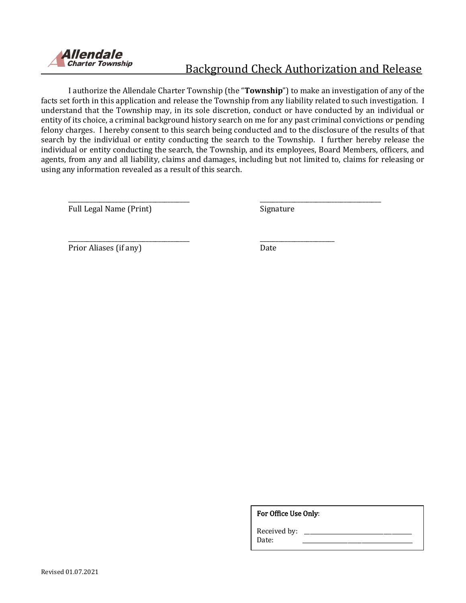

# Background Check Authorization and Release

I authorize the Allendale Charter Township (the "**Township**") to make an investigation of any of the facts set forth in this application and release the Township from any liability related to such investigation. I understand that the Township may, in its sole discretion, conduct or have conducted by an individual or entity of its choice, a criminal background history search on me for any past criminal convictions or pending felony charges. I hereby consent to this search being conducted and to the disclosure of the results of that search by the individual or entity conducting the search to the Township. I further hereby release the individual or entity conducting the search, the Township, and its employees, Board Members, officers, and agents, from any and all liability, claims and damages, including but not limited to, claims for releasing or using any information revealed as a result of this search.

\_\_\_\_\_\_\_\_\_\_\_\_\_\_\_\_\_\_\_\_\_\_\_\_\_\_\_\_\_\_\_\_\_\_\_\_\_\_\_ \_\_\_\_\_\_\_\_\_\_\_\_\_\_\_\_\_\_\_\_\_\_\_\_

\_\_\_\_\_\_\_\_\_\_\_\_\_\_\_\_\_\_\_\_\_\_\_\_\_\_\_\_\_\_\_\_\_\_\_\_\_\_\_ \_\_\_\_\_\_\_\_\_\_\_\_\_\_\_\_\_\_\_\_\_\_\_\_\_\_\_\_\_\_\_\_\_\_\_\_\_\_\_ Full Legal Name (Print) Signature

Prior Aliases (if any) Date

For Office Use Only:

Received by: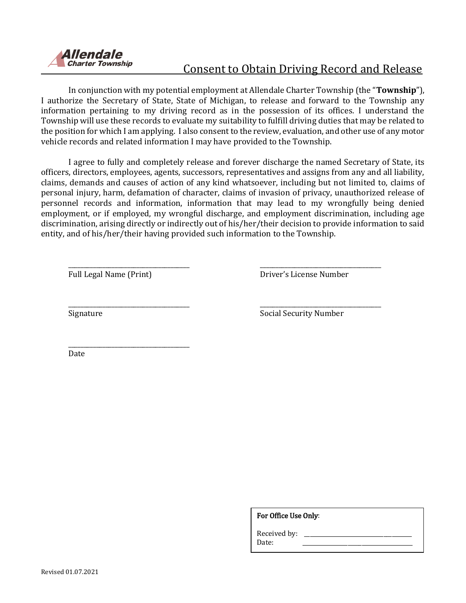

# Consent to Obtain Driving Record and Release

In conjunction with my potential employment at Allendale Charter Township (the "**Township**"), I authorize the Secretary of State, State of Michigan, to release and forward to the Township any information pertaining to my driving record as in the possession of its offices. I understand the Township will use these records to evaluate my suitability to fulfill driving duties that may be related to the position for which I am applying. I also consent to the review, evaluation, and other use of any motor vehicle records and related information I may have provided to the Township.

I agree to fully and completely release and forever discharge the named Secretary of State, its officers, directors, employees, agents, successors, representatives and assigns from any and all liability, claims, demands and causes of action of any kind whatsoever, including but not limited to, claims of personal injury, harm, defamation of character, claims of invasion of privacy, unauthorized release of personnel records and information, information that may lead to my wrongfully being denied employment, or if employed, my wrongful discharge, and employment discrimination, including age discrimination, arising directly or indirectly out of his/her/their decision to provide information to said entity, and of his/her/their having provided such information to the Township.

\_\_\_\_\_\_\_\_\_\_\_\_\_\_\_\_\_\_\_\_\_\_\_\_\_\_\_\_\_\_\_\_\_\_\_\_\_\_\_ \_\_\_\_\_\_\_\_\_\_\_\_\_\_\_\_\_\_\_\_\_\_\_\_\_\_\_\_\_\_\_\_\_\_\_\_\_\_\_

\_\_\_\_\_\_\_\_\_\_\_\_\_\_\_\_\_\_\_\_\_\_\_\_\_\_\_\_\_\_\_\_\_\_\_\_\_\_\_ \_\_\_\_\_\_\_\_\_\_\_\_\_\_\_\_\_\_\_\_\_\_\_\_\_\_\_\_\_\_\_\_\_\_\_\_\_\_\_

\_\_\_\_\_\_\_\_\_\_\_\_\_\_\_\_\_\_\_\_\_\_\_\_\_\_\_\_\_\_\_\_\_\_\_\_\_\_\_

Full Legal Name (Print) Driver's License Number

Signature Signature Social Security Number

Date

For Office Use Only:

Received by: Date: \_\_\_\_\_\_\_\_\_\_\_\_\_\_\_\_\_\_\_\_\_\_\_\_\_\_\_\_\_\_\_\_\_\_\_\_\_\_\_